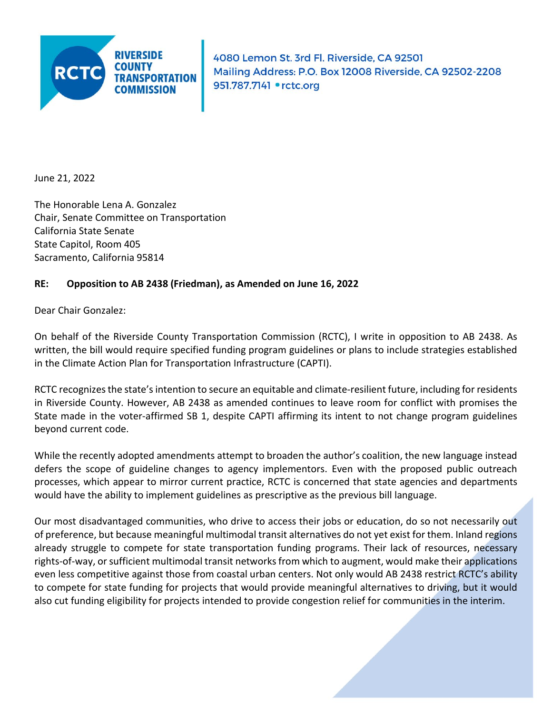

4080 Lemon St. 3rd Fl. Riverside, CA 92501 Mailing Address: P.O. Box 12008 Riverside, CA 92502-2208 951.787.7141 • rctc.org

June 21, 2022

The Honorable Lena A. Gonzalez Chair, Senate Committee on Transportation California State Senate State Capitol, Room 405 Sacramento, California 95814

## **RE: Opposition to AB 2438 (Friedman), as Amended on June 16, 2022**

Dear Chair Gonzalez:

On behalf of the Riverside County Transportation Commission (RCTC), I write in opposition to AB 2438. As written, the bill would require specified funding program guidelines or plans to include strategies established in the Climate Action Plan for Transportation Infrastructure (CAPTI).

RCTC recognizes the state's intention to secure an equitable and climate-resilient future, including for residents in Riverside County. However, AB 2438 as amended continues to leave room for conflict with promises the State made in the voter-affirmed SB 1, despite CAPTI affirming its intent to not change program guidelines beyond current code.

While the recently adopted amendments attempt to broaden the author's coalition, the new language instead defers the scope of guideline changes to agency implementors. Even with the proposed public outreach processes, which appear to mirror current practice, RCTC is concerned that state agencies and departments would have the ability to implement guidelines as prescriptive as the previous bill language.

Our most disadvantaged communities, who drive to access their jobs or education, do so not necessarily out of preference, but because meaningful multimodal transit alternatives do not yet exist for them. Inland regions already struggle to compete for state transportation funding programs. Their lack of resources, necessary rights-of-way, or sufficient multimodal transit networks from which to augment, would make their applications even less competitive against those from coastal urban centers. Not only would AB 2438 restrict RCTC's ability to compete for state funding for projects that would provide meaningful alternatives to driving, but it would also cut funding eligibility for projects intended to provide congestion relief for communities in the interim.